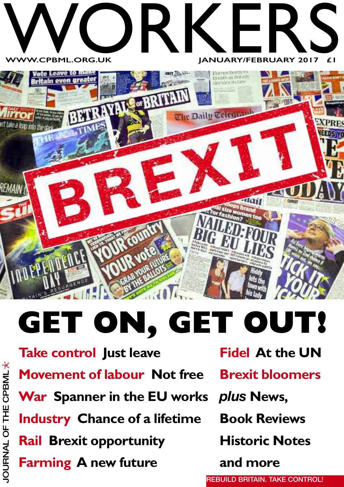

# **GET ON, GET OUT!**

**Take control Just leave Movement of labour Not free War Spanner in the EU works** *plus* **News, Industry Chance of a lifetime Rail Brexit opportunity Farming A new future**

**Fidel At the UN**

**Brexit bloomers**

**Book Reviews**

**Historic Notes**

**and more**

**REBUILD BRITAIN. TAKE CONTROL!**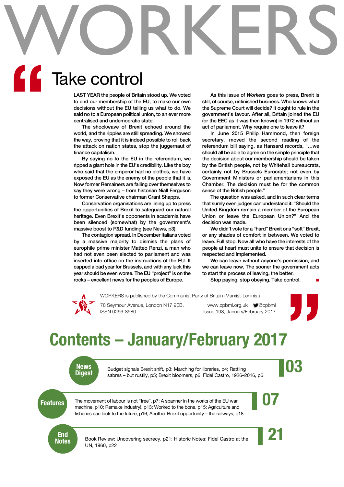# WORKERS **"**

# Take control

**LAST YEAR the people of Britain stood up. We voted to end our membership of the EU, to make our own decisions without the EU telling us what to do. We said no to a European political union, to an ever more centralised and undemocratic state.**

**The shockwave of Brexit echoed around the world, and the ripples are still spreading. We showed the way, proving that it is indeed possible to roll back the attack on nation states, stop the juggernaut of finance capitalism.**

**By saying no to the EU in the referendum, we ripped a giant hole in the EU's credibility. Like the boy who said that the emperor had no clothes, we have exposed the EU as the enemy of the people that it is. Now former Remainers are falling over themselves to say they were wrong – from historian Niall Ferguson to former Conservative chairman Grant Shapps.**

**Conservation organisations are lining up to press the opportunities of Brexit to safeguard our natural heritage. Even Brexit's opponents in academia have been silenced (somewhat) by the government's massive boost to R&D funding (see News, p3).**

**The contagion spread. In December Italians voted by a massive majority to dismiss the plans of europhile prime minister Matteo Renzi, a man who had not even been elected to parliament and was inserted into office on the instructions of the EU. It capped a bad year for Brussels, and with any luck this year should be even worse. The EU "project" is on the rocks – excellent news for the peoples of Europe.**

**As this issue of** *Workers* **goes to press, Brexit is still, of course, unfinished business. Who knows what the Supreme Court will decide? It ought to rule in the government's favour. After all, Britain joined the EU (or the EEC as it was then known) in 1972 without an act of parliament. Why require one to leave it?**

**In June 2015 Philip Hammond, then foreign secretary, moved the second reading of the referendum bill saying, as Hansard records, "…we should all be able to agree on the simple principle that the decision about our membership should be taken by the British people, not by Whitehall bureaucrats, certainly not by Brussels Eurocrats; not even by Government Ministers or parliamentarians in this Chamber. The decision must be for the common sense of the British people."**

**The question was asked, and in such clear terms that surely even judges can understand it: "Should the United Kingdom remain a member of the European Union or leave the European Union?" And the decision was made.**

**We didn't vote for a "hard" Brexit or a "soft" Brexit, or any shades of comfort in between. We voted to leave. Full stop. Now all who have the interests of the people at heart must unite to ensure that decision is respected and implemented.**

**We can leave without anyone's permission, and we can leave now. The sooner the government acts to start the process of leaving, the better.**

**Stop paying, stop obeying. Take control. ■**



WORKERS is published by the Communist Party of Britain (Marxist-Leninist)

78 Seymour Avenue, London N17 9EB. www.cpbml.org.uk  $\blacksquare$ @cpbml ISSN 0266-8580 Issue 198, January/February 2017



# **Contents – January/February 2017**



**News**<br>
Budget signals Brexit shift, p3; Marching for libraries, p4; Rattling<br> **Digest**<br> **Digest**<br> **Digest**<br> **Digest**<br> **O3** Budget signals Brexit shift, p3; Marching for libraries, p4; Rattling sabres – but rustily, p5; Brexit bloomers, p6; Fidel Castro, 1926–2016, p6

**Features** The movement of labour is not "free", p7; A spanner in the works of the EU war<br>machine, p10: Remake industry!, p13: Worked to the bone, p15: Agriculture and The movement of labour is not "free", p7; A spanner in the works of the EU war machine, p10; Remake industry!, p13; Worked to the bone, p15; Agriculture and fisheries can look to the future, p16; Another Brexit opportunity – the railways, p18

**End<br>Notes** 

Book Review: Uncovering secrecy, p21; Historic Notes: Fidel Castro at the UN, 1960, p22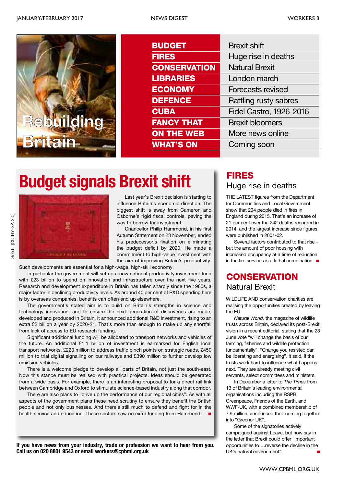

| <b>BUDGET</b>       | <b>Brexit shift</b>            |
|---------------------|--------------------------------|
| <b>FIRES</b>        | Huge rise in deaths            |
| <b>CONSERVATION</b> | <b>Natural Brexit</b>          |
| <b>LIBRARIES</b>    | London march                   |
| <b>ECONOMY</b>      | <b>Forecasts revised</b>       |
| <b>DEFENCE</b>      | Rattling rusty sabres          |
| <b>CUBA</b>         | <b>Fidel Castro, 1926-2016</b> |
| <b>FANCY THAT</b>   | <b>Brexit bloomers</b>         |
| <b>ON THE WEB</b>   | More news online               |
| <b>WHAT'S ON</b>    | Coming soon                    |

# **FIRES Budget signals Brexit shift**



Last year's Brexit decision is starting to influence Britain's economic direction. The biggest shift is away from Cameron and Osborne's rigid fiscal controls, paving the way to borrow for investment.

Chancellor Philip Hammond, in his first Autumn Statement on 23 November, ended his predecessor's fixation on eliminating the budget deficit by 2020. He made a commitment to high-value investment with the aim of improving Britain's productivity.

Such developments are essential for a high-wage, high-skill economy.

In particular the government will set up a new national productivity investment fund with £23 billion to spend on innovation and infrastructure over the next five years. Research and development expenditure in Britain has fallen sharply since the 1980s, a major factor in declining productivity levels. As around 40 per cent of R&D spending here is by overseas companies, benefits can often end up elsewhere.

The government's stated aim is to build on Britain's strengths in science and technology innovation, and to ensure the next generation of discoveries are made, developed and produced in Britain. It announced additional R&D investment, rising to an extra £2 billion a year by 2020-21. That's more than enough to make up any shortfall from lack of access to EU research funding.

Significant additional funding will be allocated to transport networks and vehicles of the future. An additional £1.1 billion of investment is earmarked for English local transport networks, £220 million to address traffic pinch points on strategic roads, £450 million to trial digital signalling on our railways and £390 million to further develop low emission vehicles.

There is a welcome pledge to develop all parts of Britain, not just the south-east. Now this stance must be realised with practical projects. Ideas should be generated from a wide basis. For example, there is an interesting proposal to for a direct rail link between Cambridge and Oxford to stimulate science-based industry along that corridor.

There are also plans to "drive up the performance of our regional cities". As with all aspects of the government plans these need scrutiny to ensure they benefit the British people and not only businesses. And there's still much to defend and fight for in the health service and education. These sectors saw no extra funding from Hammond. **■**

**If you have news from your industry, trade or profession we want to hear from you. Call us on 020 8801 9543 or email workers@cpbml.org.uk**

# Huge rise in deaths

THE LATEST figures from the Department for Communities and Local Government show that 294 people died in fires in England during 2015. That's an increase of 21 per cent over the 242 deaths recorded in 2014, and the largest increase since figures were published in 2001-02.

Several factors contributed to that rise – but the amount of poor housing with increased occupancy at a time of reduction in the fire services is a lethal combination. **■**

# Natural Brexit **CONSERVATION**

WILDLIFE AND conservation charities are realising the opportunities created by leaving the EU.

*Natural World,* the magazine of wildlife trusts across Britain, declared its post-Brexit vision in a recent editorial, stating that the 23 June vote "will change the basis of our farming, fisheries and wildlife protection fundamentally". "Change you resisted can be liberating and energising", it said, if the trusts work hard to influence what happens next. They are already meeting civil servants, select committees and ministers.

In December a letter to *The Times* from 13 of Britain's leading environmental organisations including the RSPB, Greenpeace, Friends of the Earth, and WWF-UK, with a combined membership of 7.9 million, announced their coming together into "Greener UK".

Some of the signatories actively campaigned against Leave, but now say in the letter that Brexit could offer "important opportunities to …reverse the decline in the UK's natural environment".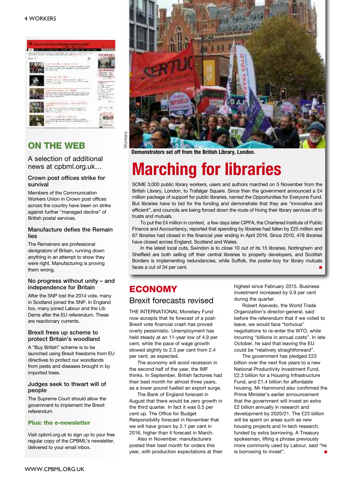#### 4 WORKERS



# **ON THE WEB**

A selection of additional news at cpbml.org.uk…

#### **Crown post offices strike for survival**

Members of the Communication Workers Union in Crown post offices across the country have been on strike against further "managed decline" of British postal services.

#### **Manufacture defies the Remain lies**

The Remainers are professional denigrators of Britain, running down anything in an attempt to show they were right. Manufacturing is proving them wrong.

#### **No progress without unity – and independence for Britain**

After the SNP lost the 2014 vote, many in Scotland joined the SNP. In England too, many joined Labour and the Lib Dems after the EU referendum. These are reactionary currents.

#### **Brexit frees up scheme to protect Britain's woodland**

A "Buy British" scheme is to be launched using Brexit freedoms from EU directives to protect our woodlands from pests and diseases brought in by imported trees.

#### **Judges seek to thwart will of people**

The Supreme Court should allow the government to implement the Brexit referendum

#### **Plus: the e-newsletter**

Visit cpbml.org.uk to sign up to your free regular copy of the CPBML's newsletter, delivered to your email inbox.



# **Marching for libraries**

SOME 3,000 public library workers, users and authors marched on 5 November from the British Library, London, to Trafalgar Square. Since then the government announced a £4 million package of support for public libraries, named the Opportunities for Everyone Fund. But libraries have to bid for the funding and demonstrate that they are "innovative and efficient", and councils are being forced down the route of hiving their library services off to trusts and mutuals.

To put the £4 million in context, a few days later CIPFA, the Chartered Institute of Public Finance and Accountancy, reported that spending by libraries had fallen by £25 million and 67 libraries had closed in the financial year ending in April 2016. Since 2010, 478 libraries have closed across England, Scotland and Wales.

In the latest local cuts, Swindon is to close 10 out of its 15 libraries, Nottingham and Sheffield are both selling off their central libraries to property developers, and Scottish Borders is implementing redundancies, while Suffolk, the poster-boy for library mutuals faces a cut of 34 per cent.

# **ECONOMY** Brexit forecasts revised

THE INTERNATIONAL Monetary Fund now accepts that its forecast of a post-Brexit vote financial crash has proved

overly pessimistic. Unemployment has held steady at an 11-year low of 4.9 per cent, while the pace of wage growth slowed slightly to 2.3 per cent from 2.4 per cent, as expected.

The economy will avoid recession in the second half of the year, the IMF thinks. In September, British factories had their best month for almost three years, as a lower pound fuelled an export surge.

The Bank of England forecast in August that there would be zero growth in the third quarter. In fact it was 0.5 per cent up. The Office for Budget Responsibility forecast in November that we will have grown by 2.1 per cent in 2016, higher than it forecast in March.

Also in November, manufacturers posted their best month for orders this year, with production expectations at their highest since February 2015. Business investment increased by 0.9 per cent during the quarter.

Robert Azevedo, the World Trade Organization's director-general, said before the referendum that if we voted to leave, we would face "tortuous" negotiations to re-enter the WTO, while incurring "billions in annual costs". In late October, he said that leaving the EU could be "relatively straightforward".

The government has pledged £23 billion over the next five years to a new National Productivity Investment Fund, £2.3 billion for a Housing Infrastructure Fund, and £1.4 billion for affordable housing. Mr Hammond also confirmed the Prime Minister's earlier announcement that the government will invest an extra £2 billion annually in research and development by 2020/21. The £23 billion will be spent on areas such as new housing projects and hi-tech research, funded by extra borrowing. A Treasury spokesman, lifting a phrase previously more commonly used by Labour, said "he is borrowing to invest".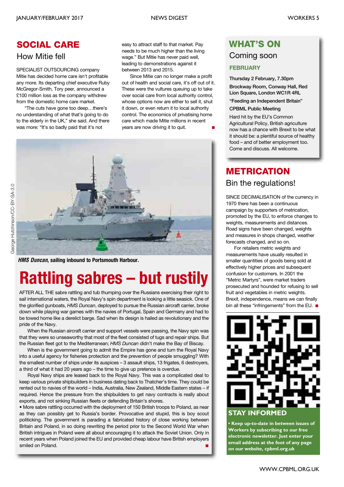# **SOCIAL CARE**

### How Mitie fell

SPECIALIST OUTSOURCING company Mitie has decided home care isn't profitable any more. Its departing chief executive Ruby McGregor-Smith, Tory peer, announced a £100 million loss as the company withdrew from the domestic home care market.

"The cuts have gone too deep…there's no understanding of what that's going to do to the elderly in the UK," she said. And there was more: "It's so badly paid that it's not

easy to attract staff to that market. Pay needs to be much higher than the living wage." But Mitie has never paid well, leading to demonstrations against it between 2013 and 2015.

Since Mitie can no longer make a profit out of health and social care, it's off out of it. These were the vultures queuing up to take over social care from local authority control, whose options now are either to sell it, shut it down, or even return it to local authority control. The economics of privatising home care which made Mitie millions in recent years are now driving it to quit. **■**



*HMS Duncan***, sailing inbound to Portsmouth Harbour.**

# **Rattling sabres – but rustily**

AFTER ALL THE sabre rattling and tub thumping over the Russians exercising their right to sail international waters, the Royal Navy's spin department is looking a little seasick. One of the glorified gunboats, *HMS Duncan*, deployed to pursue the Russian aircraft carrier, broke down while playing war games with the navies of Portugal, Spain and Germany and had to be towed home like a derelict barge. Sad when its design is hailed as revolutionary and the pride of the Navy.

When the Russian aircraft carrier and support vessels were passing, the Navy spin was that they were so unseaworthy that most of the fleet consisted of tugs and repair ships. But the Russian fleet got to the Mediterranean; *HMS Duncan* didn't make the Bay of Biscay.

When is the government going to admit the Empire has gone and turn the Royal Navy into a useful agency for fisheries protection and the prevention of people smuggling? With the smallest number of ships under its auspices – 3 assault ships, 13 frigates, 6 destroyers, a third of what it had 20 years ago – the time to give up pretence is overdue.

Royal Navy ships are leased back to the Royal Navy. This was a complicated deal to keep various private shipbuilders in business dating back to Thatcher's time. They could be rented out to navies of the world – India, Australia, New Zealand, Middle Eastern states – if required. Hence the pressure from the shipbuilders to get navy contracts is really about exports, and not sinking Russian fleets or defending Britain's shores.

• More sabre rattling occurred with the deployment of 150 British troops to Poland, as near as they can possibly get to Russia's border. Provocative and stupid, this is boy scout politicking. The government is parading a fabricated history of close working between Britain and Poland, in so doing rewriting the period prior to the Second World War when British intrigues in Poland were all about encouraging it to attack the Soviet Union. Only in recent years when Poland joined the EU and provided cheap labour have British employers smiled on Poland.

# **WHAT'S ON**

### Coming soon

### **FEBRUARY**

**Thursday 2 February, 7.30pm**

**Brockway Room, Conway Hall, Red Lion Square, London WC1R 4RL**

**"Feeding an Independent Britain"**

### **CPBML Public Meeting**

Hard hit by the EU's Common Agricultural Policy, British agriculture now has a chance with Brexit to be what it should be: a plentiful source of healthy food – and of better employment too. Come and discuss. All welcome.

# **METRICATION** Bin the regulations!

SINCE DECIMALISATION of the currency in 1970 there has been a continuous campaign by supporters of metrication, promoted by the EU, to enforce changes to weights, measurements and distances. Road signs have been changed, weights and measures in shops changed, weather forecasts changed, and so on.

For retailers metric weights and measurements have usually resulted in smaller quantities of goods being sold at effectively higher prices and subsequent confusion for customers. In 2001 the "Metric Martyrs", were market traders prosecuted and hounded for refusing to sell fruit and vegetables in metric weights. Brexit, independence, means we can finally bin all these "infringements" from the EU. **■**



**• Keep up-to-date in between issues of Workers by subscribing to our free electronic newsletter. Just enter your email address at the foot of any page on our website, cpbml.org.uk**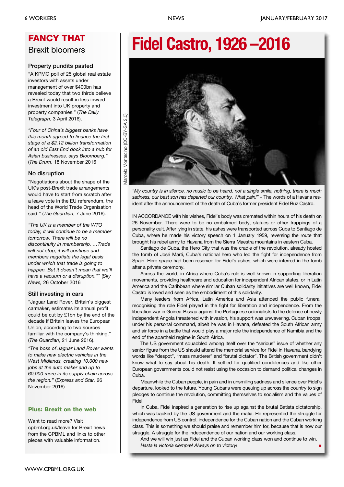# **FANCY THAT** Brexit bloomers

### **Property pundits pasted**

"A KPMG poll of 25 global real estate investors with assets under management of over \$400bn has revealed today that two thirds believe a Brexit would result in less inward investment into UK property and property companies." (*The Daily Telegraph*, 3 April 2016).

*"Four of China's biggest banks have this month agreed to finance the first stage of a \$2.12 billion transformation of an old East End dock into a hub for Asian businesses, says Bloomberg."* (*The Drum*, 18 November 2016

#### **No disruption**

"Negotiations about the shape of the UK's post-Brexit trade arrangements would have to start from scratch after a leave vote in the EU referendum, the head of the World Trade Organisation said " (*The Guardian*, 7 June 2016).

*"The UK is a member of the WTO today, it will continue to be a member tomorrow. There will be no discontinuity in membership. …Trade will not stop, it will continue and members negotiate the legal basis under which that trade is going to happen. But it doesn't mean that we'll have a vacuum or a disruption.""* (*Sky News,* 26 October 2016

### **Still investing in cars**

"Jaguar Land Rover, Britain's biggest carmaker, estimates its annual profit could be cut by £1bn by the end of the decade if Britain leaves the European Union, according to two sources familiar with the company's thinking." (*The Guardian*, 21 June 2016).

*"The boss of Jaguar Land Rover wants to make new electric vehicles in the West Midlands, creating 10,000 new jobs at the auto maker and up to 60,000 more in its supply chain across the region."* (*Express and Star,* 26 November 2016)

### **Plus: Brexit on the web**

Want to read more? Visit cpbml.org.uk/leave for Brexit news from the CPBML and links to other pieces with valuable information.

# **Fidel Castro, 1926 –2016**



*"My country is in silence, no music to be heard, not a single smile, nothing, there is much sadness, our best son has departed our country. What pain!"* – The words of a Havana resident after the announcement of the death of Cuba's former president Fidel Ruz Castro.

IN ACCORDANCE with his wishes, Fidel's body was cremated within hours of his death on 26 November. There were to be no embalmed body, statues or other trappings of a personality cult. After lying in state, his ashes were transported across Cuba to Santiago de Cuba, where he made his victory speech on 1 January 1959, reversing the route that brought his rebel army to Havana from the Sierra Maestra mountains in eastern Cuba.

Santiago de Cuba, the Hero City that was the cradle of the revolution, already hosted the tomb of José Martí, Cuba's national hero who led the fight for independence from Spain. Here space had been reserved for Fidel's ashes, which were interred in the tomb after a private ceremony.

Across the world, in Africa where Cuba's role is well known in supporting liberation movements, providing healthcare and education for independent African states, or in Latin America and the Caribbean where similar Cuban solidarity initiatives are well known, Fidel Castro is loved and seen as the embodiment of this solidarity.

Many leaders from Africa, Latin America and Asia attended the public funeral, recognising the role Fidel played in the fight for liberation and independence. From the liberation war in Guinea-Bissau against the Portuguese colonialists to the defence of newly independent Angola threatened with invasion, his support was unwavering. Cuban troops, under his personal command, albeit he was in Havana, defeated the South African army and air force in a battle that would play a major role the independence of Namibia and the end of the apartheid regime in South Africa.

The US government squabbled among itself over the "serious" issue of whether any senior figure from the US should attend the memorial service for Fidel in Havana, bandying words like "despot", "mass murderer" and "brutal dictator". The British government didn't know what to say about his death. It settled for qualified condolences and like other European governments could not resist using the occasion to demand political changes in Cuba.

Meanwhile the Cuban people, in pain and in unsmiling sadness and silence over Fidel's departure, looked to the future. Young Cubans were queuing up across the country to sign pledges to continue the revolution, committing themselves to socialism and the values of Fidel.

In Cuba, Fidel inspired a generation to rise up against the brutal Batista dictatorship, which was backed by the US government and the mafia. He represented the struggle for independence from US control, independence for the Cuban nation and the Cuban working class. This is something we should praise and remember him for, because that is now our struggle. A struggle for the independence of our nation and our working class.

And we will win just as Fidel and the Cuban working class won and continue to win. *Hasta la victoria siempre! Always on to victory!* **■**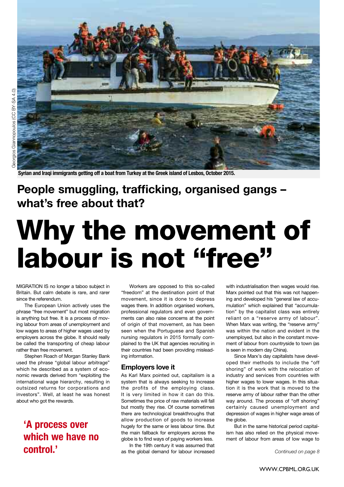

Syrian and Iraqi immigrants getting off a boat from Turkey at the Greek island of Lesbos, October 2015.

# **People smuggling, trafficking, organised gangs – what's free about that?**

# **Why the movement of labour is not "free"**

MIGRATION IS no longer a taboo subject in Britain. But calm debate is rare, and rarer since the referendum.

The European Union actively uses the phrase "free movement" but most migration is anything but free. It is a process of moving labour from areas of unemployment and low wages to areas of higher wages used by employers across the globe. It should really be called the transporting of cheap labour rather than free movement.

Stephen Roach of Morgan Stanley Bank used the phrase "global labour arbitrage" which he described as a system of economic rewards derived from "exploiting the international wage hierarchy, resulting in outsized returns for corporations and investors". Well, at least he was honest about who got the rewards.

# **'A process over which we have no control.'**

Workers are opposed to this so-called "freedom" at the destination point of that movement, since it is done to depress wages there. In addition organised workers, professional regulators and even governments can also raise concerns at the point of origin of that movement, as has been seen when the Portuguese and Spanish nursing regulators in 2015 formally complained to the UK that agencies recruiting in their countries had been providing misleading information.

#### **Employers love it**

As Karl Marx pointed out, capitalism is a system that is always seeking to increase the profits of the employing class. It is very limited in how it can do this. Sometimes the price of raw materials will fall but mostly they rise. Of course sometimes there are technological breakthroughs that allow production of goods to increase hugely for the same or less labour time. But the main fallback for employers across the globe is to find ways of paying workers less.

In the 19th century it was assumed that as the global demand for labour increased

with industrialisation then wages would rise. Marx pointed out that this was not happening and developed his "general law of accumulation" which explained that "accumulation" by the capitalist class was entirely reliant on a "reserve army of labour". When Marx was writing, the "reserve army" was within the nation and evident in the unemployed, but also in the constant movement of labour from countryside to town (as is seen in modern day China).

Since Marx's day capitalists have developed their methods to include the "off shoring" of work with the relocation of industry and services from countries with higher wages to lower wages. In this situation it is the work that is moved to the reserve army of labour rather than the other way around. The process of "off shoring" certainly caused unemployment and depression of wages in higher wage areas of the globe.

But in the same historical period capitalism has also relied on the physical movement of labour from areas of low wage to

*Continued on page 8*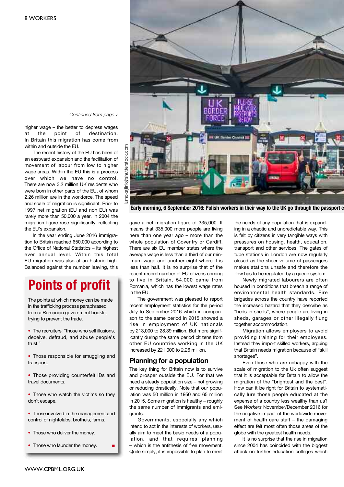

gave a net migration figure of 335,000. It means that 335,000 more people are living here than one year ago – more than the whole population of Coventry or Cardiff. There are six EU member states where the average wage is less than a third of our minimum wage and another eight where it is less than half. It is no surprise that of the recent record number of EU citizens coming to live in Britain, 54,000 came from Romania, which has the lowest wage rates in the EU.

The government was pleased to report recent employment statistics for the period July to September 2016 which in comparison to the same period in 2015 showed a rise in employment of UK nationals by 213,000 to 28.39 million. But more significantly during the same period citizens from other EU countries working in the UK increased by 221,000 to 2.26 million.

#### **Planning for a population**

The key thing for Britain now is to survive and prosper outside the EU. For that we need a steady population size – not growing or reducing drastically. Note that our population was 50 million in 1950 and 65 million in 2015. Some migration is healthy – roughly the same number of immigrants and emigrants.

Governments, especially any which intend to act in the interests of workers, usually aim to meet the basic needs of a population, and that requires planning – which is the antithesis of free movement. Quite simply, it is impossible to plan to meet the needs of any population that is expanding in a chaotic and unpredictable way. This is felt by citizens in very tangible ways with pressures on housing, health, education, transport and other services. The gates of tube stations in London are now regularly closed as the sheer volume of passengers makes stations unsafe and therefore the flow has to be regulated by a queue system.

Newly migrated labourers are often housed in conditions that breach a range of environmental health standards. Fire brigades across the country have reported the increased hazard that they describe as "beds in sheds", where people are living in sheds, garages or other illegally flung together accommodation.

Migration allows employers to avoid providing training for their employees. Instead they import skilled workers, arguing that Britain needs migration because of "skill shortages".

Even those who are unhappy with the scale of migration to the Uk often suggest that it is acceptable for Britain to allow the migration of the "brightest and the best". How can it be right for Britain to systematically lure those people educated at the expense of a country less wealthy than us? See *Workers* November/December 2016 for the negative impact of the worldwide movement of health care staff – the damaging effect are felt most often those areas of the globe with the greatest health needs.

It is no surprise that the rise in migration since 2004 has coincided with the biggest attack on further education colleges which

#### *Continued from page 7*

higher wage – the better to depress wages<br>at the point of destination. at the point of destination. In Britain this migration has come from within and outside the EU.

The recent history of the EU has been of an eastward expansion and the facilitation of movement of labour from low to higher wage areas. Within the EU this is a process over which we have no control. There are now 3.2 million UK residents who were born in other parts of the EU, of whom 2.26 million are in the workforce. The speed and scale of migration is significant. Prior to 1997 net migration (EU and non EU) was rarely more than 50,000 a year. In 2004 the migration figure rose significantly, reflecting the EU's expansion.

In the year ending June 2016 immigration to Britain reached 650,000 according to the Office of National Statistics – its highest ever annual level. Within this total EU migration was also at an historic high. Balanced against the number leaving, this

# **Points of profit**

The points at which money can be made in the trafficking process paraphrased from a Romanian government booklet trying to prevent the trade.

• The recruiters: "those who sell illusions, deceive, defraud, and abuse people's trust."

• Those responsible for smuggling and transport.

• Those providing counterfeit IDs and travel documents.

• Those who watch the victims so they don't escape.

• Those involved in the management and control of nightclubs, brothels, farms.

- Those who deliver the money.
- Those who launder the money. **■**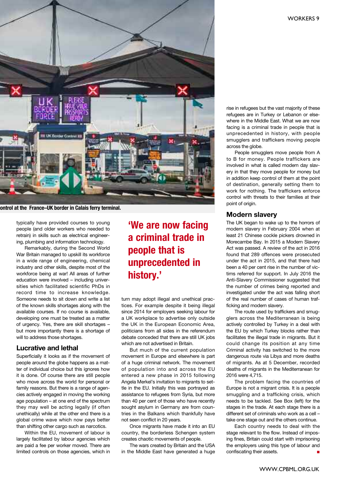

**ontrol at the France–UK border in Calais ferry terminal.**

typically have provided courses to young people (and older workers who needed to retrain) in skills such as electrical engineering, plumbing and information technology.

Remarkably, during the Second World War Britain managed to upskill its workforce in a wide range of engineering, chemical industry and other skills, despite most of the workforce being at war! All areas of further education were involved – including universities which facilitated scientific PhDs in record time to increase knowledge. Someone needs to sit down and write a list of the known skills shortages along with the available courses. If no course is available, developing one must be treated as a matter of urgency. Yes, there are skill shortages – but more importantly there is a shortage of will to address those shortages.

### **Lucrative and lethal**

Superficially it looks as if the movement of people around the globe happens as a matter of individual choice but this ignores how it is done. Of course there are still people who move across the world for personal or family reasons. But there is a range of agencies actively engaged in moving the working age population – at one end of the spectrum they may well be acting legally (if often unethically) while at the other end there is a global crime wave which now pays better than shifting other cargo such as narcotics.

Within the EU, movement of labour is largely facilitated by labour agencies which are paid a fee per worker moved. There are limited controls on those agencies, which in

# **'We are now facing a criminal trade in people that is unprecedented in history.'**

turn may adopt illegal and unethical practices. For example despite it being illegal since 2014 for employers seeking labour for a UK workplace to advertise only outside the UK in the European Economic Area, politicians from all sides in the referendum debate conceded that there are still UK jobs which are not advertised in Britain.

But much of the current population movement in Europe and elsewhere is part of a huge criminal network. The movement of population into and across the EU entered a new phase in 2015 following Angela Merkel's invitation to migrants to settle in the EU. Initially this was portrayed as assistance to refugees from Syria, but more than 40 per cent of those who have recently sought asylum in Germany are from countries in the Balkans which thankfully have not seen conflict in 20 years.

Once migrants have made it into an EU country, the borderless Schengen system creates chaotic movements of people.

The wars created by Britain and the USA in the Middle East have generated a huge

rise in refugees but the vast majority of these refugees are in Turkey or Lebanon or elsewhere in the Middle East. What we are now facing is a criminal trade in people that is unprecedented in history, with people smugglers and traffickers moving people across the globe.

People smugglers move people from A to B for money. People traffickers are involved in what is called modern day slavery in that they move people for money but in addition keep control of them at the point of destination, generally setting them to work for nothing. The traffickers enforce control with threats to their families at their point of origin.

### **Modern slavery**

The UK began to wake up to the horrors of modern slavery in February 2004 when at least 21 Chinese cockle pickers drowned in Morecambe Bay. In 2015 a Modern Slavery Act was passed. A review of the act in 2016 found that 289 offences were prosecuted under the act in 2015, and that there had been a 40 per cent rise in the number of victims referred for support. In July 2016 the Anti-Slavery Commissioner suggested that the number of crimes being reported and investigated under the act was falling short of the real number of cases of human trafficking and modern slavery.

The route used by traffickers and smugglers across the Mediterranean is being actively controlled by Turkey in a deal with the EU by which Turkey blocks rather than facilitates the illegal trade in migrants. But it could change its position at any time Criminal activity has switched to the more dangerous route via Libya and more deaths of migrants. As at 5 December, recorded deaths of migrants in the Mediterranean for 2016 were 4,715.

The problem facing the countries of Europe is not a migrant crisis. It is a people smuggling and a trafficking crisis, which needs to be tackled. See Box (left) for the stages in the trade. At each stage there is a different set of criminals who work as a cell – take one stage out and the others continue.

Each country needs to deal with the stage relevant to the flow. Instead of imposing fines, Britain could start with imprisoning the employers using this type of labour and confiscating their assets.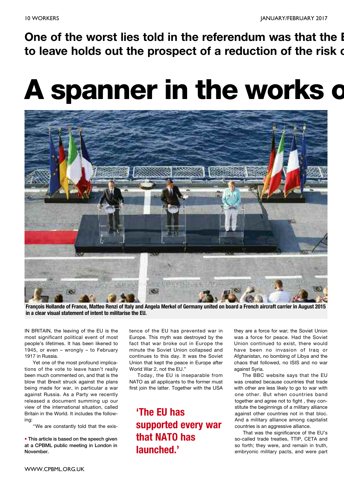**One of the worst lies told in the referendum was that the E to leave holds out the prospect of a reduction of the risk o**

# **A spanner in the works o**



François Hollande of France, Matteo Renzi of Italy and Angela Merkel of Germany united on board a French aircraft carrier in August 2015 **in a clear visual statement of intent to militarise the EU.**

IN BRITAIN, the leaving of the EU is the most significant political event of most people's lifetimes. It has been likened to 1945, or even – wrongly – to February 1917 in Russia.

Yet one of the most profound implications of the vote to leave hasn't really been much commented on, and that is the blow that Brexit struck against the plans being made for war, in particular a war against Russia. As a Party we recently released a document summing up our view of the international situation, called Britain in the World. It includes the following:

''We are constantly told that the exis-

**• This article is based on the speech given at a CPBML public meeting in London in November.**

tence of the EU has prevented war in Europe. This myth was destroyed by the fact that war broke out in Europe the minute the Soviet Union collapsed and continues to this day. It was the Soviet Union that kept the peace in Europe after World War 2, not the EU."

Today, the EU is inseparable from NATO as all applicants to the former must first join the latter. Together with the USA

**'The EU has supported every war that NATO has launched.'**

they are a force for war; the Soviet Union was a force for peace. Had the Soviet Union continued to exist, there would have been no invasion of Iraq or Afghanistan, no bombing of Libya and the chaos that followed, no ISIS and no war against Syria.

The BBC website says that the EU was created because countries that trade with other are less likely to go to war with one other. But when countries band together and agree not to fight , they constitute the beginnings of a military alliance against other countries not in that bloc. And a military alliance among capitalist countries is an aggressive alliance.

That was the significance of the EU's so-called trade treaties, TTIP, CETA and so forth; they were, and remain in truth, embryonic military pacts, and were part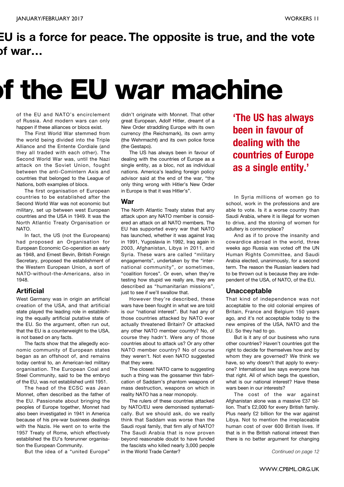# **EU is a force for peace. The opposite is true, and the vote of war…**

# **of the EU war machine**

of the EU and NATO's encirclement of Russia. And modern wars can only happen if these alliances or blocs exist.

The First World War stemmed from the world being divided into the Triple Alliance and the Entente Cordiale (and they all traded with each other). The Second World War was, until the Nazi attack on the Soviet Union, fought between the anti-Comintern Axis and countries that belonged to the League of Nations, both examples of blocs.

The first organisation of European countries to be established after the Second World War was not economic but military, set up between west European countries and the USA in 1949. It was the North Atlantic Treaty Organisation or NATO.

In fact, the US (not the Europeans) had proposed an Organisation for European Economic Co-operation as early as 1948, and Ernest Bevin, British Foreign Secretary, proposed the establishment of the Western European Union, a sort of NATO-without-the-Americans, also in 1948.

### **Artificial**

West Germany was in origin an artificial creation of the USA, and that artificial state played the leading role in establishing the equally artificial putative state of the EU. So the argument, often run out, that the EU is a counterweight to the USA, is not based on any facts.

The facts show that the allegedly economic community of European states began as an offshoot of, and remains today central to, an American-led military organisation. The European Coal and Steel Community, said to be the embryo of the EU, was not established until 1951.

The head of the ECSC was Jean Monnet, often described as the father of the EU. Passionate about bringing the peoples of Europe together, Monnet had also been investigated in 1941 in America because of his pre-war business dealings with the Nazis. He went on to write the 1957 Treaty of Rome, which effectively established the EU's forerunner organisation the European Community.

But the idea of a "united Europe"

didn't originate with Monnet. That other great European, Adolf Hitler, dreamt of a New Order straddling Europe with its own currency (the Reichsmark), its own army (the Wehrmacht) and its own police force (the Gestapo).

The US has always been in favour of dealing with the countries of Europe as a single entity, as a bloc, not as individual nations. America's leading foreign policy advisor said at the end of the war, "the only thing wrong with Hitler's New Order in Europe is that it was Hitler's".

#### **War**

The North Atlantic Treaty states that any attack upon any NATO member is considered an attack on all NATO members. The EU has supported every war that NATO has launched, whether it was against Iraq in 1991, Yugoslavia in 1992, Iraq again in 2003, Afghanistan, Libya in 2011, and Syria. These wars are called "military engagements", undertaken by the "international community", or sometimes, "coalition forces". Or even, when they're testing how stupid we really are, they are described as "humanitarian missions", just to see if we'll swallow that.

However they're described, these wars have been fought in what we are told is our "national interest". But had any of those countries attacked by NATO ever actually threatened Britain? Or attacked any other NATO member country? No, of course they hadn't. Were any of those countries about to attack us? Or any other NATO member country? No of course they weren't. Not even NATO suggested that they were.

The closest NATO came to suggesting such a thing was the gossamer thin fabrication of Saddam's phantom weapons of mass destruction, weapons on which in reality NATO has a near monopoly.

The rulers of these countries attacked by NATO/EU were demonised systematically. But we should ask, do we really think that Saddam was worse than the Saudi royal family, that firm ally of NATO? The Saudi Arabia that is now proven beyond reasonable doubt to have funded the fascists who killed nearly 3,000 people in the World Trade Center?

**'The US has always been in favour of dealing with the countries of Europe as a single entity.'**

In Syria millions of women go to school, work in the professions and are able to vote. Is it a worse country than Saudi Arabia, where it is illegal for women to drive, and the stoning of women for adultery is commonplace?

And as if to prove the insanity and cowardice abroad in the world, three weeks ago Russia was voted off the UN Human Rights Committee, and Saudi Arabia elected, unanimously, for a second term. The reason the Russian leaders had to be thrown out is because they are independent of the USA, of NATO, of the EU.

#### **Unacceptable**

That kind of independence was not acceptable to the old colonial empires of Britain, France and Belgium 150 years ago, and it's not acceptable today to the new empires of the USA, NATO and the EU. So they had to go.

But is it any of our business who runs other countries? Haven't countries got the right to decide for themselves how and by whom they are governed? We think we have, so why doesn't that apply to everyone? International law says everyone has that right. All of which begs the question, what is our national interest? Have these wars been in our interests?

The cost of the war against Afghanistan alone was a massive £37 billion. That's £2,000 for every British family. Plus nearly £2 billion for the war against Libya. Not to mention the irreplaceable human cost of over 600 British lives. If that is in the British national interest then there is no better argument for changing

*Continued on page 12*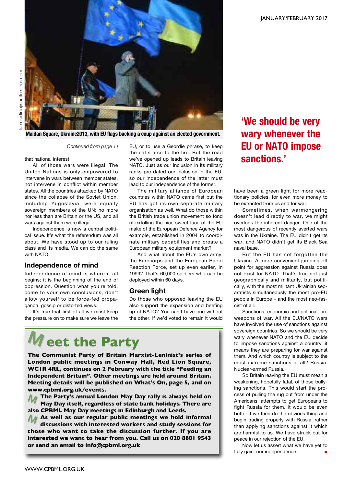

**Maidan Square, Ukraine2013, with EU flags backing a coup against an elected government.**

*Continued from page 11*

that national interest.

All of those wars were illegal. The United Nations is only empowered to intervene in wars between member states, not intervene in conflict within member states. All the countries attacked by NATO since the collapse of the Soviet Union, including Yugoslavia, were equally sovereign members of the UN; no more nor less than are Britain or the US, and all wars against them were illegal.

Independence is now a central political issue. It's what the referendum was all about. We have stood up to our ruling class and its media. We can do the same with NATO.

#### **Independence of mind**

Independence of mind is where it all begins; it is the beginning of the end of oppression. Question what you're told, come to your own conclusions, don't allow yourself to be force-fed propaganda, gossip or distorted views.

It's true that first of all we must keep the pressure on to make sure we leave the EU, or to use a Geordie phrase, to keep the cat's arse to the fire. But the road we've opened up leads to Britain leaving NATO. Just as our inclusion in its military ranks pre-dated our inclusion in the EU, so our independence of the latter must lead to our independence of the former.

The military alliance of European countries within NATO came first but the EU has got its own separate military organisation as well. What do those within the British trade union movement so fond of extolling the nice sweet face of the EU make of the European Defence Agency for example, established in 2004 to coordinate military capabilities and create a European military equipment market?

And what about the EU's own army, the Eurocorps and the European Rapid Reaction Force, set up even earlier, in 1999? That's 60,000 soldiers who can be deployed within 60 days.

#### **Green light**

Do those who opposed leaving the EU also support the expansion and beefing up of NATO? You can't have one without the other. If we'd voted to remain it would

# **eet the Party M**

**The Communist Party of Britain Marxist-Leninist's series of London public meetings in Conway Hall, Red Lion Square, WC1R 4RL, continues on 2 February with the title "Feeding an Independent Britain". Other meetings are held around Britain. Meeting details will be published on What's On, page 5, and on www.cpbml.org.uk/events.**

**The Party's annual London May Day rally is always held on May Day itself, regardless of state bank holidays. There are also CPBML May Day meetings in Edinburgh and Leeds. M**

**M those who want to take the discussion further. If you are As well as our regular public meetings we hold informal M discussions with interested workers and study sessions for interested we want to hear from you. Call us on 020 8801 9543 or send an email to info@cpbml.org.uk**

# **'We should be very wary whenever the EU or NATO impose sanctions.'**

have been a green light for more reactionary policies, for even more money to be extracted from us and for war.

Sometimes, when warmongering doesn't lead directly to war, we might overlook the inherent danger. One of the most dangerous of recently averted wars was in the Ukraine. The EU didn't get its war, and NATO didn't get its Black Sea naval base.

But the EU has not forgotten the Ukraine. A more convenient jumping off point for aggression against Russia does not exist for NATO. That's true not just geographically and militarily, but politically, with the most militant Ukrainian separatists simultaneously the most pro-EU people in Europe – and the most neo-fascist of all.

Sanctions, economic and political, are weapons of war. All the EU/NATO wars have involved the use of sanctions against sovereign countries. So we should be very wary whenever NATO and the EU decide to impose sanctions against a country; it means they are preparing for war against them. And which country is subject to the most extreme sanctions of all? Russia. Nuclear-armed Russia.

So Britain leaving the EU must mean a weakening, hopefully fatal, of those bullying sanctions. This would start the process of pulling the rug out from under the Americans' attempts to get Europeans to fight Russia for them. It would be even better if we then do the obvious thing and begin trading properly with Russia, rather than applying sanctions against it which are harmful to us. We have struck out for peace in our rejection of the EU.

Now let us assert what we have yet to fully gain: our independence.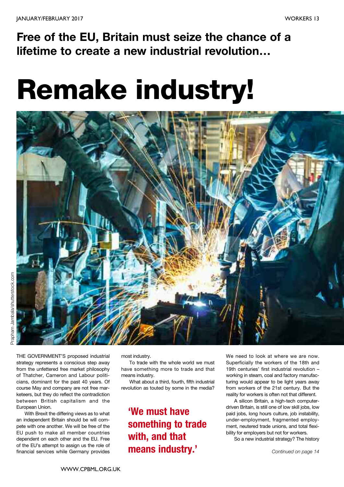**Free of the EU, Britain must seize the chance of a lifetime to create a new industrial revolution…**

# **Remake industry!**



THE GOVERNMENT'S proposed industrial strategy represents a conscious step away from the unfettered free market philosophy of Thatcher, Cameron and Labour politicians, dominant for the past 40 years. Of course May and company are not free marketeers, but they do reflect the contradiction between British capitalism and the European Union.

With Brexit the differing views as to what an independent Britain should be will compete with one another. We will be free of the EU push to make all member countries dependent on each other and the EU. Free of the EU's attempt to assign us the role of financial services while Germany provides

most industry.

To trade with the whole world we must have something more to trade and that means industry.

What about a third, fourth, fifth industrial revolution as touted by some in the media?

# **'We must have something to trade with, and that means industry.'**

We need to look at where we are now. Superficially the workers of the 18th and 19th centuries' first industrial revolution – working in steam, coal and factory manufacturing would appear to be light years away from workers of the 21st century. But the reality for workers is often not that different.

A silicon Britain, a high-tech computerdriven Britain, is still one of low skill jobs, low paid jobs, long hours culture, job instability, under-employment, fragmented employment, neutered trade unions, and total flexibility for employers but not for workers.

So a new industrial strategy? The history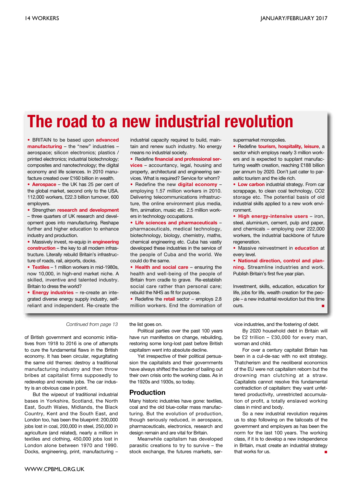# **The road to a new industrial revolution**

• BRITAIN to be based upon **advanced manufacturing** – the "new" industries – aerospace; silicon electronics; plastics / printed electronics; industrial biotechnology; composites and nanotechnology; the digital economy and life sciences. In 2010 manufacture created over £160 billion in wealth.

• **Aerospace** – the UK has 25 per cent of the global market, second only to the USA. 112,000 workers, £22.3 billion turnover, 600 employers.

• Strengthen **research and development**

– three quarters of UK research and development goes into manufacturing. Reshape further and higher education to enhance industry and production.

• Massively invest, re-equip in **engineering construction** – the key to all modern infrastructure. Literally rebuild Britain's infrastructure of roads, rail, airports, docks.

• **Textiles** – 1 million workers in mid-1980s, now 10,000, in high-end market niche. A skilled, inventive and talented industry. Britain to dress the world?

• **Energy industries** – re-create an integrated diverse energy supply industry, selfreliant and independent. Re-create the

industrial capacity required to build, maintain and renew such industry. No energy means no industrial society.

• Redefine **financial and professional services** – accountancy, legal, housing and property, architectural and engineering services. What is required? Service for whom?

• Redefine the new **digital economy** – employing 1.57 million workers in 2010. Delivering telecommunications infrastructure, the online environment plus media, film, animation, music etc. 2.5 million workers in technology occupations.

• **Life sciences and pharmaceuticals** – pharmaceuticals, medical technology, biotechnology, biology, chemistry, maths, chemical engineering etc. Cuba has vastly developed these industries in the service of the people of Cuba and the world. We could do the same.

• **Health and social care** – ensuring the health and well-being of the people of Britain from cradle to grave. Re-establish social care rather than personal care; rebuild the NHS as fit for purpose.

• Redefine the **retail** sector – employs 2.8 million workers. End the domination of supermarket monopolies.

• Redefine **tourism, hospitality, leisure**, a sector which employs nearly 3 million workers and is expected to supplant manufacturing wealth creation, reaching £188 billion per annum by 2020. Don't just cater to parasitic tourism and the idle rich.

• **Low carbon** industrial strategy. From car scrappage, to clean coal technology, CO2 storage etc. The potential basis of old industrial skills applied to a new work environment.

• **High energy-intensive users** – iron, steel, aluminium, cement, pulp and paper, and chemicals – employing over 222,000 workers, the industrial backbone of future regeneration.

• Massive reinvestment in **education** at every level.

• **National direction, control and planning.** Streamline industries and work. Publish Britain's first five year plan.

Investment, skills, education, education for life, jobs for life, wealth creation for the people – a new industrial revolution but this time ours. **■**

#### *Continued from page 13*

of British government and economic initiatives from 1918 to 2016 is one of attempts to cure the fundamental flaws in the British economy. It has been circular, regurgitating the same old themes: destroy a traditional manufacturing industry and then throw bribes at capitalist firms supposedly to redevelop and recreate jobs. The car industry is an obvious case in point.

But the wipeout of traditional industrial bases in Yorkshire, Scotland, the North East, South Wales, Midlands, the Black Country, Kent and the South East, and London too, has been the blueprint: 200,000 jobs lost in coal, 200,000 in steel, 250,000 in agriculture (and related), nearly a million in textiles and clothing, 450,000 jobs lost in London alone between 1970 and 1990. Docks, engineering, print, manufacturing –

the list goes on.

Political parties over the past 100 years have run manifestos on change, rebuilding, restoring some long-lost past before British capitalism went into absolute decline.

Yet irrespective of their political persuasion the capitalists and their governments have always shifted the burden of bailing out their own crisis onto the working class. As in the 1920s and 1930s, so today.

#### **Production**

Many historic industries have gone: textiles, coal and the old blue-collar mass manufacturing. But the evolution of production, though seriously reduced, in aerospace, pharmaceuticals, electronics, research and design remain and are vital for Britain.

Meanwhile capitalism has developed parasitic creations to try to survive – the stock exchange, the futures markets, service industries, and the fostering of debt.

By 2020 household debt in Britain will be £2 trillion – £30,000 for every man, woman and child.

For over a century capitalist Britain has been in a cul-de-sac with no exit strategy. Thatcherism and the neoliberal economics of the EU were not capitalism reborn but the drowning man clutching at a straw. Capitalists cannot resolve this fundamental contradiction of capitalism: they want unfettered productivity, unrestricted accumulation of profit, a totally enslaved working class in mind and body.

So a new industrial revolution requires us to stop following on the tailcoats of the government and employers as has been the norm for the last 100 years. The working class, if it is to develop a new independence in Britain, must create an industrial strategy that works for us. **■**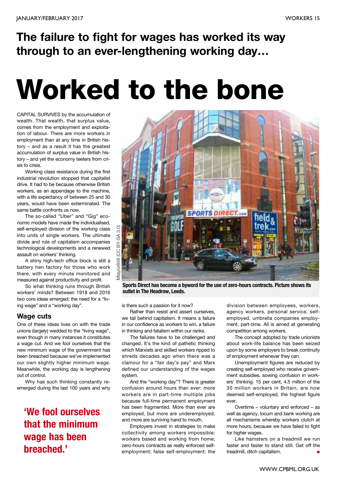# **The failure to fight for wages has worked its way through to an ever-lengthening working day…**

# **Worked to the bone**

CAPITAL SURVIVES by the accumulation of wealth. That wealth, that surplus value, comes from the employment and exploitation of labour. There are more workers in employment than at any time in British history – and as a result it has the greatest accumulation of surplus value in British history – and yet the economy teeters from crisis to crisis.

Working class resistance during the first industrial revolution stopped that capitalist drive. It had to be because otherwise British workers, as an appendage to the machine, with a life expectancy of between 25 and 30 years, would have been exterminated. The same battle confronts us now.

The so-called "Uber" and "Gig" economic models have made the individualised, self-employed division of the working class into units of single workers. The ultimate divide and rule of capitalism accompanies technological developments and a renewed assault on workers' thinking.

A shiny high-tech office block is still a battery hen factory for those who work there, with every minute monitored and measured against productivity and profit.

So what thinking runs through British workers' minds? Between 1918 and 2016 two core ideas emerged: the need for a "living wage" and a "working day".

### **Wage cuts**

One of these ideas lives on with the trade unions (largely) wedded to the "living wage", even though in many instances it constitutes a wage cut. And we fool ourselves that the new minimum wage of the government has been breached because we've implemented our own slightly higher minimum wage. Meanwhile, the working day is lengthening out of control.

Why has such thinking constantly reemerged during the last 100 years and why

# **'We fool ourselves that the minimum wage has been breached.'**



**Sports Direct has become a byword for the use of zero-hours contracts. Picture shows its outlet in The Headrow, Leeds.**

is there such a passion for it now?

Rather than resist and assert ourselves, we tail behind capitalism. It means a failure in our confidence as workers to win, a failure in thinking and fatalism within our ranks.

The failures have to be challenged and changed. It's the kind of pathetic thinking which Marxists and skilled workers ripped to shreds decades ago when there was a clamour for a "fair day's pay" and Marx defined our understanding of the wages system.

And the "working day"? There is greater confusion around hours than ever: more workers are in part-time multiple jobs because full-time permanent employment has been fragmented. More than ever are employed, but more are underemployed, and more are surviving hand to mouth.

Employers invest in strategies to make collectivity among workers impossible: workers based and working from home; zero-hours contracts as really enforced selfemployment; false self-employment; the division between employees, workers, agency workers, personal service, selfemployed, umbrella companies employment, part-time. All is aimed at generating competition among workers.

The concept adopted by trade unionists about work-life balance has been seized upon by some employers to break continuity of employment whenever they can.

Unemployment figures are reduced by creating self-employed who receive government subsidies, sowing confusion in workers' thinking. 15 per cent, 4.5 million of the 30 million workers in Britain, are now deemed self-employed, the highest figure ever.

Overtime – voluntary and enforced – as well as agency, locum and bank working are all mechanisms whereby workers clutch at more hours, because we have failed to fight for higher wages.

Like hamsters on a treadmill we run faster and faster to stand still. Get off the treadmill, ditch capitalism. **■**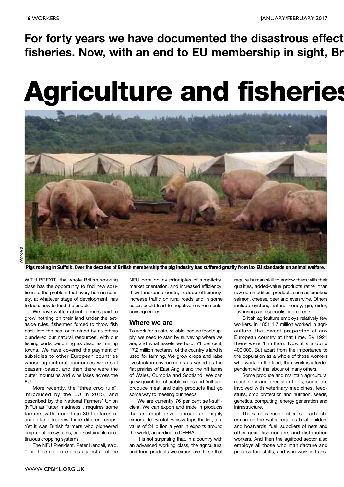**For forty years we have documented the disastrous effect fisheries. Now, with an end to EU membership in sight, Br**

# **Agriculture and fisheries**



Pigs rooting in Suffolk. Over the decades of British membership the pig industry has suffered greatly from lax EU standards on animal welfare.

WITH BREXIT, the whole British working class has the opportunity to find new solutions to the problem that every human society, at whatever stage of development, has to face: how to feed the people.

We have written about farmers paid to grow nothing on their land under the setaside rules, fishermen forced to throw fish back into the sea, or to stand by as others plundered our natural resources, with our fishing ports becoming as dead as mining towns. We have covered the payment of subsidies to other European countries whose agricultural economies were still peasant-based, and then there were the butter mountains and wine lakes across the EU.

More recently, the "three crop rule", introduced by the EU in 2015, and described by the National Farmers' Union (NFU) as "utter madness", requires some farmers with more than 30 hectares of arable land to grow three different crops. Yet it was British farmers who pioneered crop-rotation systems, and sustainable continuous cropping systems!

The NFU President, Peter Kendall, said, "The three crop rule goes against all of the

NFU core policy principles of simplicity, market orientation, and increased efficiency. It will increase costs, reduce efficiency, increase traffic on rural roads and in some cases could lead to negative environmental consequences."

#### **Where we are**

To work for a safe, reliable, secure food supply, we need to start by surveying where we are, and what assets we hold. 71 per cent, 17.2 million hectares, of the country's land is used for farming. We grow crops and raise livestock in environments as varied as the flat prairies of East Anglia and the hill farms of Wales, Cumbria and Scotland. We can grow quantities of arable crops and fruit and produce meat and dairy products that go some way to meeting our needs.

We are currently 76 per cent self-sufficient. We can export and trade in products that are much prized abroad, and highly exportable. Scotch whisky tops the list, at a value of £4 billion a year in exports around the world, according to DEFRA.

It is not surprising that, in a country with an advanced working class, the agricultural and food products we export are those that

require human skill to endow them with their qualities, added-value products rather than raw commodities, products such as smoked salmon, cheese, beer and even wine. Others include oysters, natural honey, gin, cider, flavourings and specialist ingredients.

British agriculture employs relatively few workers. In 1851 1.7 million worked in agriculture, the lowest proportion of any European country at that time. By 1921 there were 1 million. Now it's around 400,000. But apart from the importance to the population as a whole of those workers who work on the land, their work is interdependent with the labour of many others.

Some produce and maintain agricultural machinery and precision tools, some are involved with veterinary medicines, feedstuffs, crop protection and nutrition, seeds, genetics, computing, energy generation and infrastructure.

The same is true of fisheries – each fisherman on the water requires boat builders and boatyards, fuel, suppliers of nets and other gear, fishmongers and distribution workers. And then the agrifood sector also employs all those who manufacture and process foodstuffs, and who work in trans-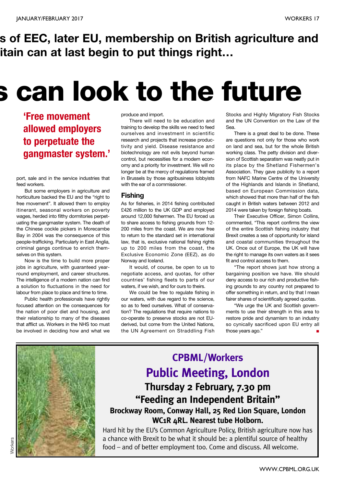# **s of EEC, later EU, membership on British agriculture and itain can at last begin to put things right…**

# **s can look to the future**

# **'Free movement allowed employers to perpetuate the gangmaster system.'**

port, sale and in the service industries that feed workers.

But some employers in agriculture and horticulture backed the EU and the "right to free movement". It allowed them to employ itinerant, seasonal workers on poverty wages, herded into filthy dormitories perpetuating the gangmaster system. The death of the Chinese cockle pickers in Morecambe Bay in 2004 was the consequence of this people-trafficking. Particularly in East Anglia, criminal gangs continue to enrich themselves on this system.

Now is the time to build more proper jobs in agriculture, with guaranteed yearround employment, and career structures. The intelligence of a modern nation can find a solution to fluctuations in the need for labour from place to place and time to time.

Public health professionals have rightly focused attention on the consequences for the nation of poor diet and housing, and their relationship to many of the diseases that afflict us. Workers in the NHS too must be involved in deciding how and what we

produce and import.

There will need to be education and training to develop the skills we need to feed ourselves and investment in scientific research and projects that increase productivity and yield. Disease resistance and biotechnology are not evils beyond human control, but necessities for a modern economy and a priority for investment. We will no longer be at the mercy of regulations framed in Brussels by those agribusiness lobbyists with the ear of a commissioner.

### **Fishing**

As for fisheries, in 2014 fishing contributed £426 million to the UK GDP and employed around 12,000 fishermen. The EU forced us to share access to fishing grounds from 12- 200 miles from the coast. We are now free to return to the standard set in international law, that is, exclusive national fishing rights up to 200 miles from the coast, the Exclusive Economic Zone (EEZ), as do Norway and Iceland.

It would, of course, be open to us to negotiate access, and quotas, for other countries' fishing fleets to parts of our waters, if we wish, and for ours to theirs.

We could be free to regulate fishing in our waters, with due regard to the science, so as to feed ourselves. What of conservation? The regulations that require nations to co-operate to preserve stocks are not EUderived, but come from the United Nations, the UN Agreement on Straddling Fish Stocks and Highly Migratory Fish Stocks and the UN Convention on the Law of the Sea.

There is a great deal to be done. These are questions not only for those who work on land and sea, but for the whole British working class. The petty division and diversion of Scottish separatism was neatly put in its place by the Shetland Fishermen's Association. They gave publicity to a report from NAFC Marine Centre of the University of the Highlands and Islands in Shetland, based on European Commission data, which showed that more than half of the fish caught in British waters between 2012 and 2014 were taken by foreign fishing boats.

Their Executive Officer, Simon Collins, commented, "This report confirms the view of the entire Scottish fishing industry that Brexit creates a sea of opportunity for island and coastal communities throughout the UK. Once out of Europe, the UK will have the right to manage its own waters as it sees fit and control access to them.

"The report shows just how strong a bargaining position we have. We should deny access to our rich and productive fishing grounds to any country not prepared to offer something in return, and by that I mean fairer shares of scientifically agreed quotas.

"We urge the UK and Scottish governments to use their strength in this area to restore pride and dynamism to an industry so cynically sacrificed upon EU entry all those years ago." **■**



# **CPBML/Workers Public Meeting, London Thursday 2 February, 7.30 pm "Feeding an Independent Britain" Brockway Room, Conway Hall, 25 Red Lion Square, London**

**WC1R 4RL. Nearest tube Holborn.**

Hard hit by the EU's Common Agriculture Policy, British agriculture now has a chance with Brexit to be what it should be: a plentiful source of healthy food – and of better employment too. Come and discuss. All welcome.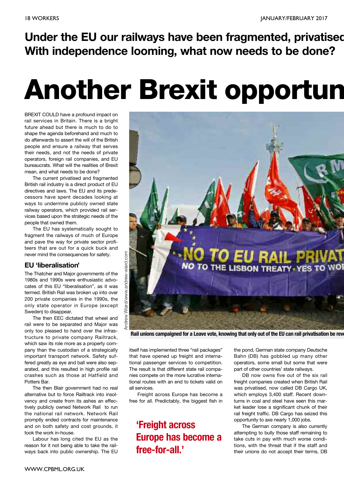**Under the EU our railways have been fragmented, privatised With independence looming, what now needs to be done?**

# **Another Brexit opportun**

BREXIT COULD have a profound impact on rail services in Britain. There is a bright future ahead but there is much to do to shape the agenda beforehand and much to do afterwards to assert the will of the British people and ensure a railway that serves their needs, and not the needs of private operators, foreign rail companies, and EU bureaucrats. What will the realities of Brexit mean, and what needs to be done?

The current privatised and fragmented British rail industry is a direct product of EU directives and laws. The EU and its predecessors have spent decades looking at ways to undermine publicly owned state railway operators, which provided rail services based upon the strategic needs of the people that owned them.

The EU has systematically sought to fragment the railways of much of Europe and pave the way for private sector profiteers that are out for a quick buck and never mind the consequences for safety.

### **EU 'liberalisation'**

The Thatcher and Major governments of the 1980s and 1990s were enthusiastic advocates of this EU "liberalisation", as it was termed. British Rail was broken up into over 200 private companies in the 1990s, the only state operator in Europe (except Sweden) to disappear.

The then EEC dictated that wheel and rail were to be separated and Major was only too pleased to hand over the infrastructure to private company Railtrack, which saw its role more as a property company than the custodian of a strategically important transport network. Safety suffered greatly as eye and ball were also separated, and this resulted in high profile rail crashes such as those at Hatfield and Potters Bar.

The then Blair government had no real alternative but to force Railtrack into insolvency and create from its ashes an effectively publicly owned Network Rail to run the national rail network. Network Rail promptly ended contracts for maintenance and on both safety and cost grounds, it took the work in-house.

Labour has long cited the EU as the reason for it not being able to take the railways back into public ownership. The EU



Rail unions campaigned for a Leave vote, knowing that only out of the EU can rail privatisation be rev

itself has implemented three "rail packages" that have opened up freight and international passenger services to competition. The result is that different state rail companies compete on the more lucrative international routes with an end to tickets valid on all services.

Freight across Europe has become a free for all. Predictably, the biggest fish in

**'Freight across Europe has become a free-for-all.'**

the pond, German state company Deutsche Bahn (DB) has gobbled up many other operators, some small but some that were part of other countries' state railways.

DB now owns five out of the six rail freight companies created when British Rail was privatised, now called DB Cargo UK, which employs 3,400 staff. Recent downturns in coal and steel have seen this market leader lose a significant chunk of their rail freight traffic. DB Cargo has seized this opportunity to axe nearly 1,000 jobs.

The German company is also currently attempting to bully those staff remaining to take cuts in pay with much worse conditions, with the threat that if the staff and their unions do not accept their terms, DB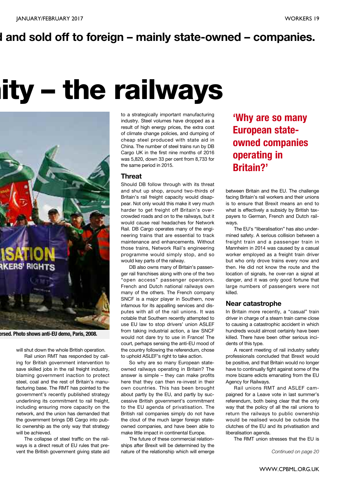# **d and sold off to foreign – mainly state-owned – companies.**

# **nity – the railways**



**ersed. Photo shows anti-EU demo, Paris, 2008.**

will shut down the whole British operation.

Rail union RMT has responded by calling for British government intervention to save skilled jobs in the rail freight industry, blaming government inaction to protect steel, coal and the rest of Britain's manufacturing base. The RMT has pointed to the government's recently published strategy underlining its commitment to rail freight, including ensuring more capacity on the network, and the union has demanded that the government brings DB Cargo into public ownership as the only way that strategy will be achieved.

The collapse of steel traffic on the railways is a direct result of EU rules that prevent the British government giving state aid to a strategically important manufacturing industry. Steel volumes have dropped as a result of high energy prices, the extra cost of climate change policies, and dumping of cheap steel produced with state aid in China. The number of steel trains run by DB Cargo UK in the first nine months of 2016 was 5,820, down 33 per cent from 8,733 for the same period in 2015.

#### **Threat**

Should DB follow through with its threat and shut up shop, around two-thirds of Britain's rail freight capacity would disappear. Not only would this make it very much harder to get freight off Britain's overcrowded roads and on to the railways, but it would cause real headaches for Network Rail. DB Cargo operates many of the engineering trains that are essential to track maintenance and enhancements. Without those trains, Network Rail's engineering programme would simply stop, and so would key parts of the railway.

DB also owns many of Britain's passenger rail franchises along with one of the two "open access" passenger operators. French and Dutch national railways own many of the others. The French company SNCF is a major player in Southern, now infamous for its appalling services and disputes with all of the rail unions. It was notable that Southern recently attempted to use EU law to stop drivers' union ASLEF from taking industrial action, a law SNCF would not dare try to use in France! The court, perhaps sensing the anti-EU mood of the country following the referendum, chose to uphold ASLEF's right to take action.

So why are so many European stateowned railways operating in Britain? The answer is simple – they can make profits here that they can then re-invest in their own countries. This has been brought about partly by the EU, and partly by successive British government's commitment to the EU agenda of privatisation. The British rail companies simply do not have the clout of the much larger foreign stateowned companies, and have been able to make little impact in continental Europe.

The future of these commercial relationships after Brexit will be determined by the nature of the relationship which will emerge

**'Why are so many European stateowned companies operating in Britain?'**

between Britain and the EU. The challenge facing Britain's rail workers and their unions is to ensure that Brexit means an end to what is effectively a subsidy by British taxpayers to German, French and Dutch railways.

The EU's "liberalisation" has also undermined safety. A serious collision between a freight train and a passenger train in Mannheim in 2014 was caused by a casual worker employed as a freight train driver but who only drove trains every now and then. He did not know the route and the location of signals, he over-ran a signal at danger, and it was only good fortune that large numbers of passengers were not killed.

#### **Near catastrophe**

In Britain more recently, a "casual" train driver in charge of a steam train came close to causing a catastrophic accident in which hundreds would almost certainly have been killed. There have been other serious incidents of this type.

A recent meeting of rail industry safety professionals concluded that Brexit would be positive, and that Britain would no longer have to continually fight against some of the more bizarre edicts emanating from the EU Agency for Railways.

Rail unions RMT and ASLEF campaigned for a Leave vote in last summer's referendum, both being clear that the only way that the policy of all the rail unions to return the railways to public ownership would be realised would be outside the clutches of the EU and its privatisation and liberalisation agenda.

The RMT union stresses that the EU is

*Continued on page 20*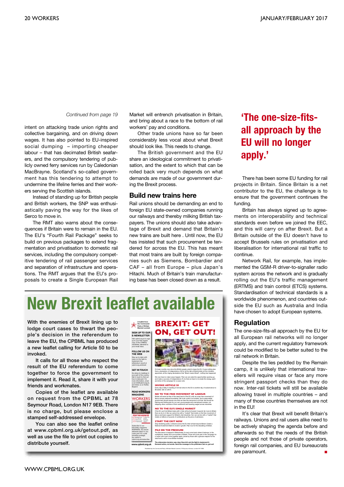#### *Continued from page 19*

intent on attacking trade union rights and collective bargaining, and on driving down wages. It has also pointed to EU-inspired social dumping – importing cheaper labour – that has decimated British seafarers, and the compulsory tendering of publicly owned ferry services run by Caledonian MacBrayne. Scotland's so-called government has this tendering to attempt to undermine the lifeline ferries and their workers serving the Scottish islands.

Instead of standing up for British people and British workers, the SNP was enthusiastically paving the way for the likes of Serco to move in.

The RMT also warns about the consequences if Britain were to remain in the EU. The EU's "Fourth Rail Package" seeks to build on previous packages to extend fragmentation and privatisation to domestic rail services, including the compulsory competitive tendering of rail passenger services and separation of infrastructure and operations. The RMT argues that the EU's proposals to create a Single European Rail Market will entrench privatisation in Britain, and bring about a race to the bottom of rail workers' pay and conditions.

Other trade unions have so far been considerably less vocal about what Brexit should look like. This needs to change.

The British government and the EU share an ideological commitment to privatisation, and the extent to which that can be rolled back very much depends on what demands are made of our government during the Brexit process.

#### **Build new trains here**

Rail unions should be demanding an end to foreign EU state-owned companies running our railways and thereby milking British taxpayers. The unions should also take advantage of Brexit and demand that Britain's new trains are built here . Until now, the EU has insisted that such procurement be tendered for across the EU. This has meant that most trains are built by foreign companies such as Siemens, Bombardier and CAF – all from Europe – plus Japan's Hitachi. Much of Britain's train manufacturing base has been closed down as a result.

# **New Brexit leaflet available**

**With the enemies of Brexit lining up to lodge court cases to thwart the people's decision in the referendum to leave the EU, the CPBML has produced a new leaflet calling for Article 50 to be invoked.**

**It calls for all those who respect the result of the EU referendum to come together to force the government to implement it. Read it, share it with your friends and workmates.**

**Copies of the leaflet are available on request from the CPBML at 78 Seymour Road, London N17 9EB. There is no charge, but please enclose a stamped self-addressed envelope.**

**You can also see the leaflet online at www.cpbml.org.uk/getout.pdf, as well as use the file to print out copies to distribute yourself.**



# **'The one-size-fitsall approach by the EU will no longer apply.'**

There has been some EU funding for rail projects in Britain. Since Britain is a net contributor to the EU, the challenge is to ensure that the government continues the funding.

Britain has always signed up to agreements on interoperability and technical standards even before we joined the EEC, and this will carry on after Brexit. But a Britain outside of the EU doesn't have to accept Brussels rules on privatisation and liberalisation for international rail traffic to continue.

Network Rail, for example, has implemented the GSM-R driver-to-signaller radio system across the network and is gradually rolling out the EU's traffic management (ERTMS) and train control (ETCS) systems. Standardisation of technical standards is a worldwide phenomenon, and countries outside the EU such as Australia and India have chosen to adopt European systems.

#### **Regulation**

The one-size-fits-all approach by the EU for all European rail networks will no longer apply, and the current regulatory framework could be modified to be better suited to the rail network in Britain.

Despite the lies peddled by the Remain camp, it is unlikely that international travellers will require visas or face any more stringent passport checks than they do now. Inter-rail tickets will still be available allowing travel in multiple countries – and many of those countries themselves are not in the EU!

It's clear that Brexit will benefit Britain's railways. Unions and rail users alike need to be actively shaping the agenda before and afterwards so that the needs of the British people and not those of private operators, foreign rail companies, and EU bureaucrats are paramount. **■**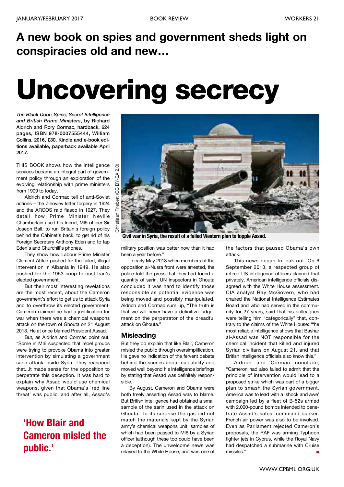# **A new book on spies and government sheds light on conspiracies old and new…**

# **Uncovering secrecy**

*The Black Door: Spies, Secret Intelligence and British Prime Ministers***, by Richard Aldrich and Rory Cormac, hardback, 624 pages, ISBN 978-0007555444, William Collins, 2016, £30. Kindle and e-book editions available, paperback available April 2017.**

THIS BOOK shows how the intelligence services became an integral part of government policy through an exploration of the evolving relationship with prime ministers from 1909 to today.

Aldrich and Cormac tell of anti-Soviet actions – the Zinoviev letter forgery in 1924 and the ARCOS raid fiasco in 1927. They detail how Prime Minister Neville Chamberlain used his friend, MI5 officer Sir Joseph Ball, to run Britain's foreign policy behind the Cabinet's back, to get rid of his Foreign Secretary Anthony Eden and to tap Eden's and Churchill's phones.

They show how Labour Prime Minister Clement Attlee pushed for the failed, illegal intervention in Albania in 1949. He also pushed for the 1953 coup to oust Iran's elected government.

But their most interesting revelations are the most recent, about the Cameron government's effort to get us to attack Syria and to overthrow its elected government. Cameron claimed he had a justification for war when there was a chemical weapons attack on the town of Ghouta on 21 August 2013. He at once blamed President Assad.

But, as Aldrich and Cormac point out, "Some in MI6 suspected that rebel groups were trying to provoke Obama into greater intervention by simulating a government sarin attack inside Syria. They reasoned that...it made sense for the opposition to perpetrate this deception. It was hard to explain why Assad would use chemical weapons, given that Obama's 'red line threat' was public, and after all, Assad's

# **'How Blair and Cameron misled the public.'**



**Civil war in Syria, the result of a failed Western plan to topple Assad.**

military position was better now than it had been a year before."

In early May 2013 when members of the opposition al-Nusra front were arrested, the police told the press that they had found a quantity of sarin. UN inspectors in Ghouta concluded it was hard to identify those responsible as potential evidence was being moved and possibly manipulated. Aldrich and Cormac sum up, "The truth is that we will never have a definitive judgement on the perpetrator of the dreadful attack on Ghouta."

### **Misleading**

But they do explain that like Blair, Cameron misled the public through oversimplification. He gave no indication of the fervent debate behind the scenes about culpability and moved well beyond his intelligence briefings by stating that Assad was definitely responsible.

By August, Cameron and Obama were both freely asserting Assad was to blame. But British intelligence had obtained a small sample of the sarin used in the attack on Ghouta. To its surprise the gas did not match the materials kept by the Syrian army's chemical weapons unit, samples of which had been passed to MI6 by a Syrian officer (although these too could have been a deception). The unwelcome news was relayed to the White House, and was one of the factors that paused Obama's own attack.

This news began to leak out. On 6 September 2013, a respected group of retired US intelligence officers claimed that privately, American intelligence officials disagreed with the White House assessment. CIA analyst Ray McGovern, who had chaired the National Intelligence Estimates Board and who had served in the community for 27 years, said that his colleagues were telling him "categorically" that, contrary to the claims of the White House: '"he most reliable intelligence shows that Bashar al-Assad was NOT responsible for the chemical incident that killed and injured Syrian civilians on August 21, and that British intelligence officials also know this."

Aldrich and Cormac conclude, "Cameron had also failed to admit that the principle of intervention would lead to a proposed strike which was part of a bigger plan to smash the Syrian government. America was to lead with a 'shock and awe' campaign led by a fleet of B-52s armed with 2,000-pound bombs intended to penetrate Assad's safest command bunker. French air power was also to be involved. Even as Parliament rejected Cameron's proposals, the RAF was arming Typhoon fighter jets in Cyprus, while the Royal Navy had despatched a submarine with Cruise missiles." **■**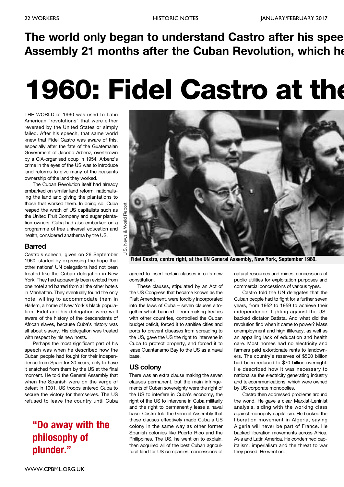# **The world only began to understand Castro after his spee Assembly 21 months after the Cuban Revolution, which he**

# **1960: Fidel Castro at the**

THE WORLD of 1960 was used to Latin American "revolutions" that were either reversed by the United States or simply failed. After his speech, that same world knew that Fidel Castro was aware of this, especially after the fate of the Guatemalan Government of Jacobo Arbenz, overthrown by a CIA-organised coup in 1954. Arbenz's crime in the eyes of the US was to introduce land reforms to give many of the peasants ownership of the land they worked.

The Cuban Revolution itself had already embarked on similar land reform, nationalising the land and giving the plantations to those that worked them. In doing so, Cuba reaped the wrath of US capitalists such as the United Fruit Company and sugar plantation owners. Cuba had also embarked on a programme of free universal education and health, considered anathema by the US.

#### **Barred**

Castro's speech, given on 26 September 1960, started by expressing the hope that other nations' UN delegations had not been treated like the Cuban delegation in New York. They had apparently been evicted from one hotel and barred from all the other hotels in Manhattan. They eventually found the only hotel willing to accommodate them in Harlem, a home of New York's black population. Fidel and his delegation were well aware of the history of the descendants of African slaves, because Cuba's history was all about slavery. His delegation was treated with respect by his new hosts.

Perhaps the most significant part of his speech was when he described how the Cuban people had fought for their independence from Spain for 30 years, only to have it snatched from them by the US at the final moment. He told the General Assembly that when the Spanish were on the verge of defeat in 1901, US troops entered Cuba to secure the victory for themselves. The US refused to leave the country until Cuba

# **"Do away with the philosophy of plunder."**



**Fidel Castro, centre right, at the UN General Assembly, New York, September 1960.**

agreed to insert certain clauses into its new constitution.

These clauses, stipulated by an Act of the US Congress that became known as the Platt Amendment, were forcibly incorporated into the laws of Cuba – seven clauses altogether which banned it from making treaties with other countries, controlled the Cuban budget deficit, forced it to sanitise cities and ports to prevent diseases from spreading to the US, gave the US the right to intervene in Cuba to protect property, and forced it to lease Guantanamo Bay to the US as a naval base.

### **US colony**

There was an extra clause making the seven clauses permanent, but the main infringements of Cuban sovereignty were the right of the US to interfere in Cuba's economy, the right of the US to intervene in Cuba militarily and the right to permanently lease a naval base. Castro told the General Assembly that these clauses effectively made Cuba a US colony in the same way as other former Spanish colonies like Puerto Rico and the Philippines. The US, he went on to explain, then acquired all of the best Cuban agricultural land for US companies, concessions of natural resources and mines, concessions of public utilities for exploitation purposes and commercial concessions of various types.

Castro told the UN delegates that the Cuban people had to fight for a further seven years, from 1952 to 1959 to achieve their independence, fighting against the USbacked dictator Batista. And what did the revolution find when it came to power? Mass unemployment and high illiteracy, as well as an appalling lack of education and health care. Most homes had no electricity and farmers paid extortionate rents to landowners. The country's reserves of \$500 billion had been reduced to \$70 billion overnight. He described how it was necessary to nationalise the electricity generating industry and telecommunications, which were owned by US corporate monopolies.

Castro then addressed problems around the world. He gave a clear Marxist-Leninist analysis, siding with the working class against monopoly capitalism. He backed the liberation movement in Algeria, saying Algeria will never be part of France. He backed liberation movements across Africa, Asia and Latin America. He condemned capitalism, imperialism and the threat to war they posed. He went on: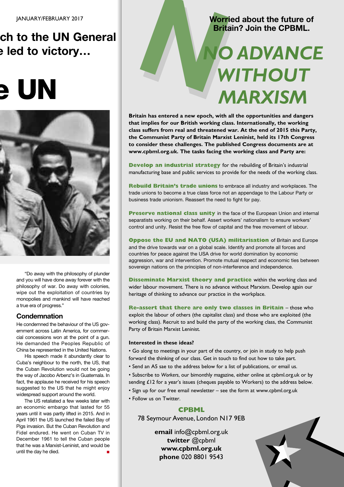# **ch to the UN General e led to victory…**

# **e UN**



"Do away with the philosophy of plunder and you will have done away forever with the philosophy of war. Do away with colonies, wipe out the exploitation of countries by monopolies and mankind will have reached a true era of progress."

### **Condemnation**

He condemned the behaviour of the US government across Latin America, for commercial concessions won at the point of a gun. He demanded the Peoples Republic of China be represented in the United Nations.

His speech made it abundantly clear to Cuba's neighbour to the north, the US, that the Cuban Revolution would not be going the way of Jacobo Arbenz's in Guatemala. In fact, the applause he received for his speech suggested to the US that he might enjoy widespread support around the world.

The US retaliated a few weeks later with an economic embargo that lasted for 55 years until it was partly lifted in 2015. And in April 1961 the US launched the failed Bay of Pigs invasion. But the Cuban Revolution and Fidel endured. He went on Cuban TV in December 1961 to tell the Cuban people that he was a Marxist-Leninist, and would be until the day he died. **■**

# **Worried about the future of Britain? Join the CPBML.**

# Worried about the future of<br>Britain? Join the CPBML.<br> **NO ADVANCE**<br>
WITHOUT *WITHOUT MARXISM*

**Britain has entered a new epoch, with all the opportunities and dangers that implies for our British working class. Internationally, the working class suffers from real and threatened war. At the end of 2015 this Party, the Communist Party of Britain Marxist Leninist, held its 17th Congress to consider these challenges. The published Congress documents are at www.cpbml.org.uk. The tasks facing the working class and Party are:**

**Develop an industrial strategy** for the rebuilding of Britain's industrial manufacturing base and public services to provide for the needs of the working class.

**Rebuild Britain's trade unions** to embrace all industry and workplaces. The trade unions to become a true class force not an appendage to the Labour Party or business trade unionism. Reassert the need to fight for pay.

**Preserve national class unity** in the face of the European Union and internal separatists working on their behalf. Assert workers' nationalism to ensure workers' control and unity. Resist the free flow of capital and the free movement of labour.

**Oppose the EU and NATO (USA) militarisation** of Britain and Europe and the drive towards war on a global scale. Identify and promote all forces and countries for peace against the USA drive for world domination by economic aggression, war and intervention. Promote mutual respect and economic ties between sovereign nations on the principles of non-interference and independence.

**Disseminate Marxist theory and practice** within the working class and wider labour movement. There is no advance without Marxism. Develop again our heritage of thinking to advance our practice in the workplace.

**Re-assert that there are only two classes in Britain** – those who exploit the labour of others (the capitalist class) and those who are exploited (the working class). Recruit to and build the party of the working class, the Communist Party of Britain Marxist Leninist.

### **Interested in these ideas?**

• Go along to meetings in your part of the country, or join in study to help push forward the thinking of our class. Get in touch to find out how to take part.

- Send an A5 sae to the address below for a list of publications, or email us.
- Subscribe to *Workers*, our bimonthly magazine, either online at cpbml.org.uk or by sending £12 for a year's issues (cheques payable to Workers) to the address below.
- Sign up for our free email newsletter see the form at www.cpbml.org.uk
- Follow us on Twitter.

### **CPBML**

78 Seymour Avenue, London N17 9EB

**email** info@cpbml.org.uk **twitter** @cpbml **www.cpbml.org.uk phone** 020 8801 9543